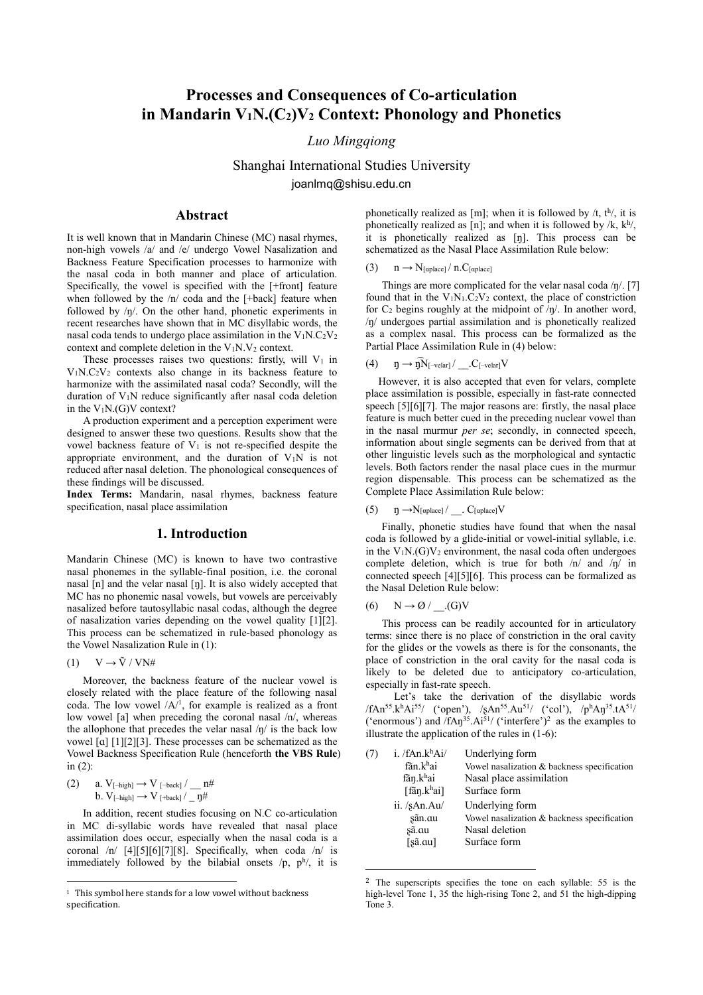# **Processes and Consequences of Co-articulation in Mandarin V1N.(C2)V<sup>2</sup> Context: Phonology and Phonetics**

# *Luo Mingqiong*

Shanghai International Studies University joanlmq@shisu.edu.cn

# **Abstract**

It is well known that in Mandarin Chinese (MC) nasal rhymes, non-high vowels /a/ and /e/ undergo Vowel Nasalization and Backness Feature Specification processes to harmonize with the nasal coda in both manner and place of articulation. Specifically, the vowel is specified with the [+front] feature when followed by the  $/n/$  coda and the [+back] feature when followed by /ŋ/. On the other hand, phonetic experiments in recent researches have shown that in MC disyllabic words, the nasal coda tends to undergo place assimilation in the  $V_1N.C_2V_2$ context and complete deletion in the  $V_1N.V_2$  context.

These processes raises two questions: firstly, will  $V_1$  in V1N.C2V<sup>2</sup> contexts also change in its backness feature to harmonize with the assimilated nasal coda? Secondly, will the duration of V<sub>1</sub>N reduce significantly after nasal coda deletion in the  $V_1N(G)V$  context?

 A production experiment and a perception experiment were designed to answer these two questions. Results show that the vowel backness feature of  $V_1$  is not re-specified despite the appropriate environment, and the duration of  $V_1N$  is not reduced after nasal deletion. The phonological consequences of these findings will be discussed.

**Index Terms:** Mandarin, nasal rhymes, backness feature specification, nasal place assimilation

#### **1. Introduction**

Mandarin Chinese (MC) is known to have two contrastive nasal phonemes in the syllable-final position, i.e. the coronal nasal [n] and the velar nasal [ŋ]. It is also widely accepted that MC has no phonemic nasal vowels, but vowels are perceivably nasalized before tautosyllabic nasal codas, although the degree of nasalization varies depending on the vowel quality [1][2]. This process can be schematized in rule-based phonology as the Vowel Nasalization Rule in (1):

 $(1)$   $V \rightarrow \tilde{V} / V N#$ 

 $\overline{\phantom{a}}$ 

 Moreover, the backness feature of the nuclear vowel is closely related with the place feature of the following nasal coda. The low vowel  $/A<sup>1</sup>$ , for example is realized as a front low vowel [a] when preceding the coronal nasal /n/, whereas the allophone that precedes the velar nasal /ŋ/ is the back low vowel [ɑ] [1][2][3]. These processes can be schematized as the Vowel Backness Specification Rule (henceforth **the VBS Rule**) in  $(2)$ :

(2) a. 
$$
V_{[-high]} \rightarrow V_{[-back]}/\_n^{\#}
$$
  
b.  $V_{[-high]} \rightarrow V_{[+back]}/\_n^{\#}$ 

 In addition, recent studies focusing on N.C co-articulation in MC di-syllabic words have revealed that nasal place assimilation does occur, especially when the nasal coda is a coronal /n/ [4][5][6][7][8]. Specifically, when coda /n/ is immediately followed by the bilabial onsets  $/p$ ,  $p^h$ , it is

phonetically realized as [m]; when it is followed by  $/t$ ,  $t^{h/2}$ , it is phonetically realized as [n]; and when it is followed by  $/k$ ,  $k^{h/2}$ , it is phonetically realized as [ŋ]. This process can be schematized as the Nasal Place Assimilation Rule below:

(3)  $n \rightarrow N_{[\text{aplace}]} / n.C_{[\text{aplace}]}$ 

Things are more complicated for the velar nasal coda  $/\eta$ . [7] found that in the  $V_1N_1.C_2V_2$  context, the place of constriction for  $C_2$  begins roughly at the midpoint of  $/\eta$ . In another word, /ŋ/ undergoes partial assimilation and is phonetically realized as a complex nasal. This process can be formalized as the Partial Place Assimilation Rule in (4) below:

$$
(4) \qquad \eta \rightarrow \widehat{\eta N}_{[-\text{velar}]}/\text{\hspace{1cm}}.C_{[-\text{velar}]}V
$$

 However, it is also accepted that even for velars, complete place assimilation is possible, especially in fast-rate connected speech [5][6][7]. The major reasons are: firstly, the nasal place feature is much better cued in the preceding nuclear vowel than in the nasal murmur *per se*; secondly, in connected speech, information about single segments can be derived from that at other linguistic levels such as the morphological and syntactic levels. Both factors render the nasal place cues in the murmur region dispensable. This process can be schematized as the Complete Place Assimilation Rule below:

$$
(5) \qquad \eta \rightarrow N_{[\alpha \text{place}]}/\_ \cdot C_{[\alpha \text{place}]}V
$$

 Finally, phonetic studies have found that when the nasal coda is followed by a glide-initial or vowel-initial syllable, i.e. in the  $V_1N$ .(G) $V_2$  environment, the nasal coda often undergoes complete deletion, which is true for both /n/ and /ŋ/ in connected speech [4][5][6]. This process can be formalized as the Nasal Deletion Rule below:

$$
(6) \qquad N \to \mathcal{O} \quad / \quad (G)V
$$

 $\overline{\phantom{a}}$ 

 This process can be readily accounted for in articulatory terms: since there is no place of constriction in the oral cavity for the glides or the vowels as there is for the consonants, the place of constriction in the oral cavity for the nasal coda is likely to be deleted due to anticipatory co-articulation, especially in fast-rate speech.

Let's take the derivation of the disyllabic words /fAn<sup>55</sup>.k<sup>h</sup>Ai<sup>55</sup>/ ('open'), /ʂAn<sup>55</sup>.Au<sup>51</sup>/ ('col'), /p<sup>h</sup>Aŋ<sup>35</sup>.tA<sup>51</sup>/ ('enormous') and /fAŋ<sup>35</sup>.Ai<sup>51</sup>/ ('interfere')<sup>2</sup> as the examples to illustrate the application of the rules in (1-6):

| (7) | i. /fAn.k <sup>h</sup> Ai/   | Underlying form                             |
|-----|------------------------------|---------------------------------------------|
|     | fãn.khai                     | Vowel nasalization & backness specification |
|     | fãn.khai                     | Nasal place assimilation                    |
|     | $\lceil \n{fan.khai} \rceil$ | Surface form                                |
|     | ii. /sAn.Au/                 | Underlying form                             |
|     | sãn.au                       | Vowel nasalization & backness specification |
|     | sã.αu                        | Nasal deletion                              |
|     | [sã.ɑu]                      | Surface form                                |
|     |                              |                                             |

<sup>2</sup> The superscripts specifies the tone on each syllable: 55 is the high-level Tone 1, 35 the high-rising Tone 2, and 51 the high-dipping Tone 3.

<sup>&</sup>lt;sup>1</sup> This symbol here stands for a low vowel without backness specification.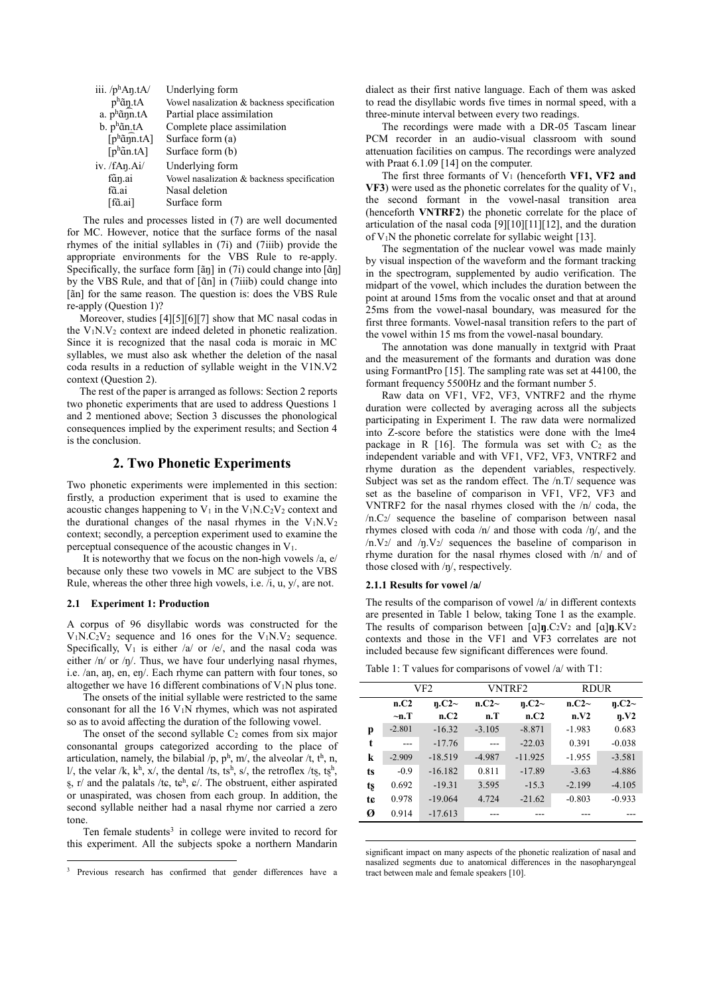| iii. $/p^h$ An.tA/            | Underlying form                             |
|-------------------------------|---------------------------------------------|
| p <sup>h</sup> ãŋ.tA          | Vowel nasalization & backness specification |
| a. $p^h$ ann.tA               | Partial place assimilation                  |
| $b. ph$ ãn.tA                 | Complete place assimilation                 |
| $[p^h\tilde{a}n\tilde{n}.tA]$ | Surface form $(a)$                          |
| $[p^h$ an.tA]                 | Surface form (b)                            |
| iv. $/fAn.Ai/$                | Underlying form                             |
| fãn.ai                        | Vowel nasalization & backness specification |
| fã.ai                         | Nasal deletion                              |
| [fã.ai]                       | Surface form                                |
|                               |                                             |

 The rules and processes listed in (7) are well documented for MC. However, notice that the surface forms of the nasal rhymes of the initial syllables in (7i) and (7iiib) provide the appropriate environments for the VBS Rule to re-apply. Specifically, the surface form  $[\tilde{a}\eta]$  in (7i) could change into  $[\tilde{a}\eta]$ by the VBS Rule, and that of [ɑ̃n] in (7iiib) could change into [ãn] for the same reason. The question is: does the VBS Rule re-apply (Question 1)?

 Moreover, studies [4][5][6][7] show that MC nasal codas in the  $V_1N.V_2$  context are indeed deleted in phonetic realization. Since it is recognized that the nasal coda is moraic in MC syllables, we must also ask whether the deletion of the nasal coda results in a reduction of syllable weight in the V1N.V2 context (Question 2).

 The rest of the paper is arranged as follows: Section 2 reports two phonetic experiments that are used to address Questions 1 and 2 mentioned above; Section 3 discusses the phonological consequences implied by the experiment results; and Section 4 is the conclusion.

# **2. Two Phonetic Experiments**

Two phonetic experiments were implemented in this section: firstly, a production experiment that is used to examine the acoustic changes happening to  $V_1$  in the  $V_1N.C_2V_2$  context and the durational changes of the nasal rhymes in the  $V_1N.V_2$ context; secondly, a perception experiment used to examine the perceptual consequence of the acoustic changes in V1.

It is noteworthy that we focus on the non-high vowels  $/a$ ,  $e$ / because only these two vowels in MC are subject to the VBS Rule, whereas the other three high vowels, i.e. /i, u, y/, are not.

### **2.1 Experiment 1: Production**

 $\overline{\phantom{a}}$ 

A corpus of 96 disyllabic words was constructed for the  $V_1N.C_2V_2$  sequence and 16 ones for the  $V_1N.V_2$  sequence. Specifically,  $V_1$  is either /a/ or /e/, and the nasal coda was either /n/ or /ŋ/. Thus, we have four underlying nasal rhymes, i.e. /an, aŋ, en, eŋ/. Each rhyme can pattern with four tones, so altogether we have 16 different combinations of  $V_1N$  plus tone.

 The onsets of the initial syllable were restricted to the same consonant for all the  $16$  V<sub>1</sub>N rhymes, which was not aspirated so as to avoid affecting the duration of the following vowel.

The onset of the second syllable  $C_2$  comes from six major consonantal groups categorized according to the place of articulation, namely, the bilabial /p,  $p^h$ , m/, the alveolar /t, t<sup>h</sup>, n, l/, the velar /k, k<sup>h</sup>, x/, the dental /ts, ts<sup>h</sup>, s/, the retroflex /ts, tsh,  $\S$ , r/ and the palatals /t $\varepsilon$ , t $\varepsilon$ <sup>h</sup>,  $\varepsilon$ /. The obstruent, either aspirated or unaspirated, was chosen from each group. In addition, the second syllable neither had a nasal rhyme nor carried a zero tone.

Ten female students<sup>3</sup> in college were invited to record for this experiment. All the subjects spoke a northern Mandarin dialect as their first native language. Each of them was asked to read the disyllabic words five times in normal speed, with a three-minute interval between every two readings.

 The recordings were made with a DR-05 Tascam linear PCM recorder in an audio-visual classroom with sound attenuation facilities on campus. The recordings were analyzed with Praat  $6.1.09$  [14] on the computer.

The first three formants of V<sub>1</sub> (henceforth VF1, VF2 and **VF3**) were used as the phonetic correlates for the quality of  $V_1$ , the second formant in the vowel-nasal transition area (henceforth **VNTRF2**) the phonetic correlate for the place of articulation of the nasal coda [9][10][11][12], and the duration of  $V_1$ N the phonetic correlate for syllabic weight [13].

 The segmentation of the nuclear vowel was made mainly by visual inspection of the waveform and the formant tracking in the spectrogram, supplemented by audio verification. The midpart of the vowel, which includes the duration between the point at around 15ms from the vocalic onset and that at around 25ms from the vowel-nasal boundary, was measured for the first three formants. Vowel-nasal transition refers to the part of the vowel within 15 ms from the vowel-nasal boundary.

 The annotation was done manually in textgrid with Praat and the measurement of the formants and duration was done using FormantPro [15]. The sampling rate was set at 44100, the formant frequency 5500Hz and the formant number 5.

 Raw data on VF1, VF2, VF3, VNTRF2 and the rhyme duration were collected by averaging across all the subjects participating in Experiment I. The raw data were normalized into Z-score before the statistics were done with the lme4 package in R  $[16]$ . The formula was set with  $C_2$  as the independent variable and with VF1, VF2, VF3, VNTRF2 and rhyme duration as the dependent variables, respectively. Subject was set as the random effect. The /n.T/ sequence was set as the baseline of comparison in VF1, VF2, VF3 and VNTRF2 for the nasal rhymes closed with the /n/ coda, the  $/n.C<sub>2</sub>$  sequence the baseline of comparison between nasal rhymes closed with coda /n/ and those with coda /ŋ/, and the  $/n.V_2/$  and  $/p.V_2/$  sequences the baseline of comparison in rhyme duration for the nasal rhymes closed with /n/ and of those closed with /ŋ/, respectively.

#### **2.1.1 Results for vowel /a/**

 $\overline{\phantom{a}}$ 

The results of the comparison of vowel /a/ in different contexts are presented in Table 1 below, taking Tone 1 as the example. The results of comparison between [ɑ]**ŋ**.C2V<sup>2</sup> and [ɑ]**ŋ**.KV<sup>2</sup> contexts and those in the VF1 and VF3 correlates are not included because few significant differences were found.

Table 1: T values for comparisons of vowel /a/ with T1:

|    | VF <sub>2</sub><br><b>VNTRF2</b> |               | <b>RDUR</b>          |           |          |               |
|----|----------------------------------|---------------|----------------------|-----------|----------|---------------|
|    | n.C2                             |               | n.C2~<br>$\eta$ .C2~ |           | n.C2~    |               |
|    | $\neg$ n.T                       | n.C2~<br>n.C2 | n.T                  | n.C2      | n.V2     | n.C2~<br>n.V2 |
| р  | $-2.801$                         | $-16.32$      | $-3.105$             | $-8.871$  | $-1.983$ | 0.683         |
| t  |                                  | $-17.76$      |                      | $-22.03$  | 0.391    | $-0.038$      |
| k  | $-2.909$                         | $-18.519$     | $-4.987$             | $-11.925$ | $-1.955$ | $-3.581$      |
| ts | $-0.9$                           | $-16.182$     | 0.811                | $-17.89$  | $-3.63$  | $-4.886$      |
| ts | 0.692                            | $-19.31$      | 3.595                | $-15.3$   | $-2.199$ | $-4.105$      |
| tc | 0.978                            | $-19.064$     | 4.724                | $-21.62$  | $-0.803$ | $-0.933$      |
| Ø  | 0.914                            | $-17.613$     |                      |           |          |               |

significant impact on many aspects of the phonetic realization of nasal and nasalized segments due to anatomical differences in the nasopharyngeal tract between male and female speakers [10].

<sup>3</sup> Previous research has confirmed that gender differences have a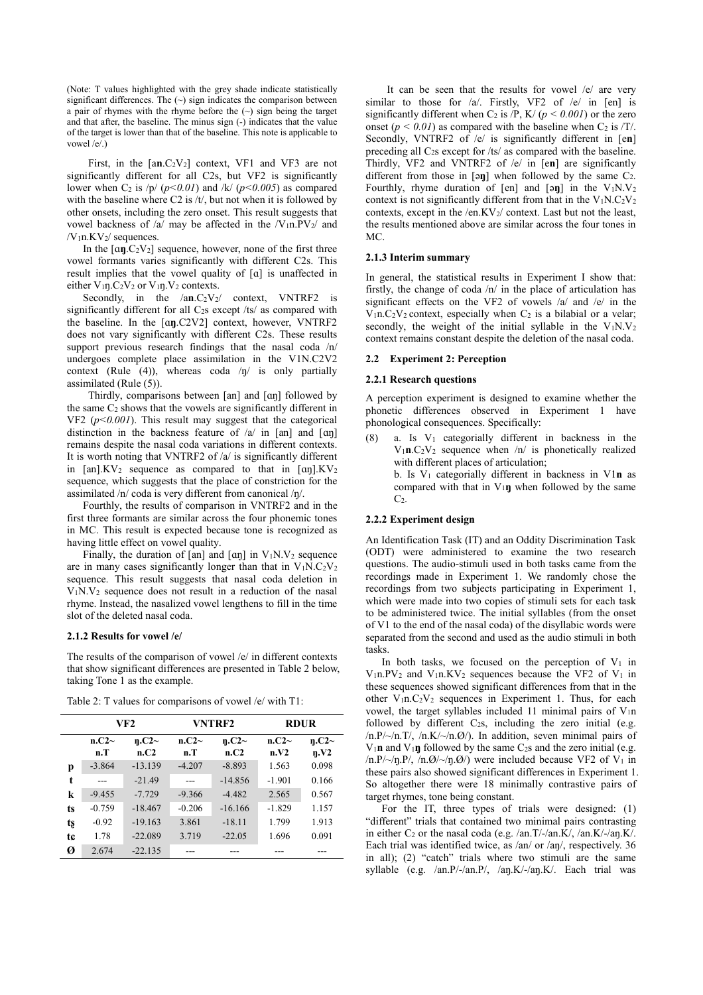(Note: T values highlighted with the grey shade indicate statistically significant differences. The  $(\sim)$  sign indicates the comparison between a pair of rhymes with the rhyme before the  $(\sim)$  sign being the target and that after, the baseline. The minus sign (-) indicates that the value of the target is lower than that of the baseline. This note is applicable to vowel /e/.)

First, in the  $[an.C<sub>2</sub>V<sub>2</sub>]$  context, VF1 and VF3 are not significantly different for all C2s, but VF2 is significantly lower when C<sub>2</sub> is  $/p/(p<0.01)$  and  $/k/(p<0.005)$  as compared with the baseline where C2 is /t/, but not when it is followed by other onsets, including the zero onset. This result suggests that vowel backness of /a/ may be affected in the  $/V_1n.PV_2/$  and  $/V_1n.KV_2$  sequences.

 In the [ɑ**ŋ**.C2V2] sequence, however, none of the first three vowel formants varies significantly with different C2s. This result implies that the vowel quality of [ɑ] is unaffected in either  $V_{1}n.C_{2}V_{2}$  or  $V_{1}n.V_{2}$  contexts.

Secondly, in the  $/an.C_2V_2/$  context, VNTRF2 is significantly different for all C<sub>2S</sub> except /ts/ as compared with the baseline. In the [ɑ**ŋ**.C2V2] context, however, VNTRF2 does not vary significantly with different C2s. These results support previous research findings that the nasal coda /n/ undergoes complete place assimilation in the V1N.C2V2 context (Rule (4)), whereas coda  $/\eta$  is only partially assimilated (Rule (5)).

 Thirdly, comparisons between [an] and [ɑŋ] followed by the same C<sup>2</sup> shows that the vowels are significantly different in VF2 (*p<0.001*). This result may suggest that the categorical distinction in the backness feature of /a/ in [an] and [ɑŋ] remains despite the nasal coda variations in different contexts. It is worth noting that VNTRF2 of /a/ is significantly different in  $\lceil$ an].KV<sub>2</sub> sequence as compared to that in  $\lceil$ an].KV<sub>2</sub> sequence, which suggests that the place of constriction for the assimilated /n/ coda is very different from canonical /ŋ/.

 Fourthly, the results of comparison in VNTRF2 and in the first three formants are similar across the four phonemic tones in MC. This result is expected because tone is recognized as having little effect on vowel quality.

Finally, the duration of [an] and [an] in  $V_1N.V_2$  sequence are in many cases significantly longer than that in  $V_1N.C_2V_2$ sequence. This result suggests that nasal coda deletion in  $V_1$ N. $V_2$  sequence does not result in a reduction of the nasal rhyme. Instead, the nasalized vowel lengthens to fill in the time slot of the deleted nasal coda.

#### **2.1.2 Results for vowel /e/**

The results of the comparison of vowel /e/ in different contexts that show significant differences are presented in Table 2 below, taking Tone 1 as the example.

|    | VF2      |             | <b>VNTRF2</b> |           | <b>RDUR</b> |       |
|----|----------|-------------|---------------|-----------|-------------|-------|
|    | n.C2~    | $\eta$ .C2~ | n.C2~         | n.C2~     | n.C2~       | n.C2~ |
|    | n.T      | n.C2        | n.T           | n.C2      | n.V2        | n.V2  |
| p  | $-3.864$ | $-13.139$   | $-4.207$      | $-8.893$  | 1.563       | 0.098 |
| t  |          | $-21.49$    |               | $-14.856$ | $-1.901$    | 0.166 |
| k  | $-9.455$ | $-7.729$    | $-9.366$      | $-4.482$  | 2.565       | 0.567 |
| ts | $-0.759$ | $-18.467$   | $-0.206$      | $-16.166$ | $-1.829$    | 1.157 |
| ts | $-0.92$  | $-19.163$   | 3.861         | $-18.11$  | 1.799       | 1.913 |
| te | 1.78     | $-22.089$   | 3.719         | $-22.05$  | 1.696       | 0.091 |
| Ø  | 2.674    | $-22.135$   |               |           |             |       |

Table 2: T values for comparisons of vowel /e/ with T1:

It can be seen that the results for vowel /e/ are very similar to those for /a/. Firstly, VF2 of /e/ in [en] is significantly different when C<sub>2</sub> is  $\overline{P}$ , K $\overline{P}$  ( $p < 0.001$ ) or the zero onset  $(p < 0.01)$  as compared with the baseline when  $C_2$  is  $/T$ . Secondly, VNTRF2 of /e/ is significantly different in [e**n**] preceding all C2s except for /ts/ as compared with the baseline. Thirdly, VF2 and VNTRF2 of /e/ in [e**n**] are significantly different from those in [ə**ŋ**] when followed by the same C2. Fourthly, rhyme duration of [en] and [ə**ŋ**] in the V1N.V<sup>2</sup> context is not significantly different from that in the  $V_1N.C_2V_2$ contexts, except in the /en.KV2/ context. Last but not the least, the results mentioned above are similar across the four tones in MC.

#### **2.1.3 Interim summary**

In general, the statistical results in Experiment I show that: firstly, the change of coda /n/ in the place of articulation has significant effects on the VF2 of vowels /a/ and /e/ in the  $V_1$ n.C<sub>2</sub>V<sub>2</sub> context, especially when C<sub>2</sub> is a bilabial or a velar; secondly, the weight of the initial syllable in the  $V_1N.V_2$ context remains constant despite the deletion of the nasal coda.

#### **2.2 Experiment 2: Perception**

### **2.2.1 Research questions**

A perception experiment is designed to examine whether the phonetic differences observed in Experiment 1 have phonological consequences. Specifically:

 $(8)$  a. Is  $V_1$  categorially different in backness in the V1**n**.C2V<sup>2</sup> sequence when /n/ is phonetically realized with different places of articulation; b. Is V<sup>1</sup> categorially different in backness in V1**n** as compared with that in V1**ŋ** when followed by the same  $C<sub>2</sub>$ .

#### **2.2.2 Experiment design**

An Identification Task (IT) and an Oddity Discrimination Task (ODT) were administered to examine the two research questions. The audio-stimuli used in both tasks came from the recordings made in Experiment 1. We randomly chose the recordings from two subjects participating in Experiment 1, which were made into two copies of stimuli sets for each task to be administered twice. The initial syllables (from the onset of V1 to the end of the nasal coda) of the disyllabic words were separated from the second and used as the audio stimuli in both tasks.

In both tasks, we focused on the perception of  $V_1$  in  $V_1$ n.PV<sub>2</sub> and V<sub>1</sub>n.KV<sub>2</sub> sequences because the VF2 of V<sub>1</sub> in these sequences showed significant differences from that in the other  $V_1n.C_2V_2$  sequences in Experiment 1. Thus, for each vowel, the target syllables included 11 minimal pairs of  $V_{1}n$ followed by different  $C_2$ s, including the zero initial (e.g.  $/n.P/\sim/n.T/\,$  /n.K $/\sim/n.O/\,$  In addition, seven minimal pairs of V1**n** and V1**ŋ** followed by the same C2s and the zero initial (e.g.  $/n.P/\sim/n.P/\prime$ ,  $/n.Q/\sim/n.Q/\prime$ ) were included because VF2 of V<sub>1</sub> in these pairs also showed significant differences in Experiment 1. So altogether there were 18 minimally contrastive pairs of target rhymes, tone being constant.

 For the IT, three types of trials were designed: (1) "different" trials that contained two minimal pairs contrasting in either C<sub>2</sub> or the nasal coda (e.g. /an.T/-/an.K/, /an.K/-/aŋ.K/. Each trial was identified twice, as /an/ or /aŋ/, respectively. 36 in all); (2) "catch" trials where two stimuli are the same syllable (e.g. /an.P/-/an.P/, /aŋ.K/-/aŋ.K/. Each trial was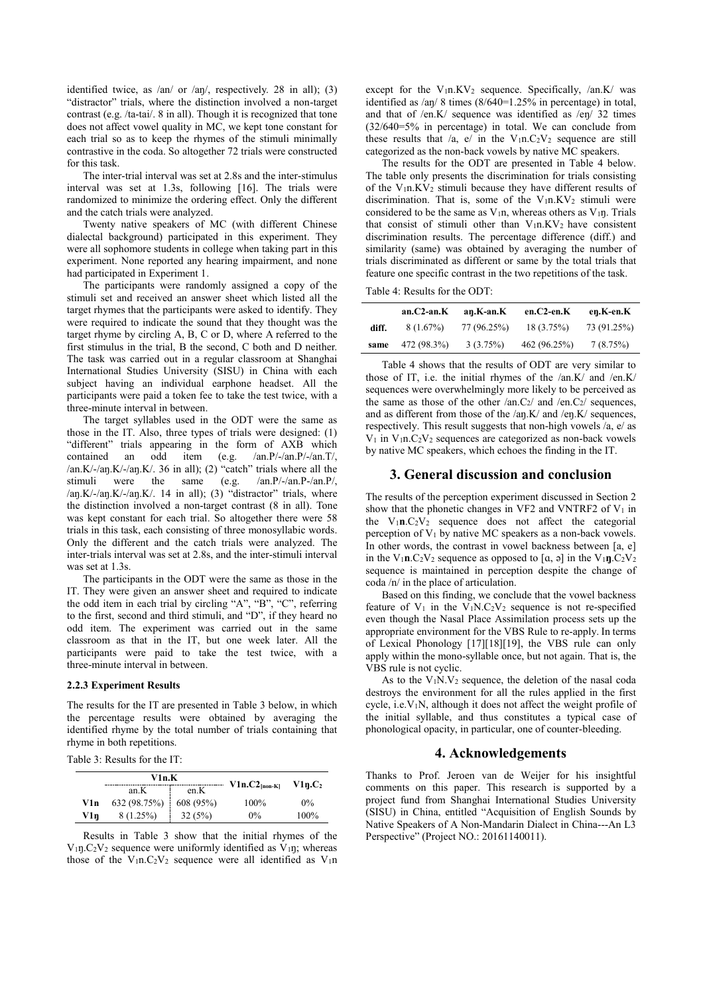identified twice, as /an/ or /aŋ/, respectively. 28 in all); (3) "distractor" trials, where the distinction involved a non-target contrast (e.g. /ta-tai/. 8 in all). Though it is recognized that tone does not affect vowel quality in MC, we kept tone constant for each trial so as to keep the rhymes of the stimuli minimally contrastive in the coda. So altogether 72 trials were constructed for this task.

 The inter-trial interval was set at 2.8s and the inter-stimulus interval was set at 1.3s, following [16]. The trials were randomized to minimize the ordering effect. Only the different and the catch trials were analyzed.

 Twenty native speakers of MC (with different Chinese dialectal background) participated in this experiment. They were all sophomore students in college when taking part in this experiment. None reported any hearing impairment, and none had participated in Experiment 1.

 The participants were randomly assigned a copy of the stimuli set and received an answer sheet which listed all the target rhymes that the participants were asked to identify. They were required to indicate the sound that they thought was the target rhyme by circling A, B, C or D, where A referred to the first stimulus in the trial, B the second, C both and D neither. The task was carried out in a regular classroom at Shanghai International Studies University (SISU) in China with each subject having an individual earphone headset. All the participants were paid a token fee to take the test twice, with a three-minute interval in between.

 The target syllables used in the ODT were the same as those in the IT. Also, three types of trials were designed: (1) "different" trials appearing in the form of AXB which contained an odd item (e.g. /an.P/-/an.P/-/an.T/, /an.K/-/aŋ.K/-/aŋ.K/. 36 in all); (2) "catch" trials where all the stimuli were the same (e.g. /an.P/-/an.P-/an.P/, /aŋ.K/-/aŋ.K/-/aŋ.K/. 14 in all); (3) "distractor" trials, where the distinction involved a non-target contrast (8 in all). Tone was kept constant for each trial. So altogether there were 58 trials in this task, each consisting of three monosyllabic words. Only the different and the catch trials were analyzed. The inter-trials interval was set at 2.8s, and the inter-stimuli interval was set at 1.3s.

 The participants in the ODT were the same as those in the IT. They were given an answer sheet and required to indicate the odd item in each trial by circling "A", "B", "C", referring to the first, second and third stimuli, and "D", if they heard no odd item. The experiment was carried out in the same classroom as that in the IT, but one week later. All the participants were paid to take the test twice, with a three-minute interval in between.

#### **2.2.3 Experiment Results**

The results for the IT are presented in Table 3 below, in which the percentage results were obtained by averaging the identified rhyme by the total number of trials containing that rhyme in both repetitions.

Table 3: Results for the IT:

|     | V1n.K        |           | $V1n.C2_{[non-K]}$ | V1n.C <sub>2</sub> |
|-----|--------------|-----------|--------------------|--------------------|
|     | an.K         | en.K      |                    |                    |
| V1n | 632 (98.75%) | 608 (95%) | 100%               | $0\%$              |
| V1n | 8 (1.25%)    | 32(5%)    | $0\%$              | 100%               |

 Results in Table 3 show that the initial rhymes of the  $V_{1}n.C_{2}V_{2}$  sequence were uniformly identified as  $V_{1}n$ ; whereas those of the V<sub>1</sub>n.C<sub>2</sub>V<sub>2</sub> sequence were all identified as V<sub>1</sub>n except for the  $V_1$ n.KV<sub>2</sub> sequence. Specifically, /an.K/ was identified as /an/ 8 times (8/640=1.25% in percentage) in total, and that of /en.K/ sequence was identified as /eŋ/ 32 times (32/640=5% in percentage) in total. We can conclude from these results that /a, e/ in the  $V_1n.C_2V_2$  sequence are still categorized as the non-back vowels by native MC speakers.

 The results for the ODT are presented in Table 4 below. The table only presents the discrimination for trials consisting of the V<sub>1</sub>n.KV<sub>2</sub> stimuli because they have different results of discrimination. That is, some of the  $V_1n.KV_2$  stimuli were considered to be the same as  $V_{1n}$ , whereas others as  $V_{1n}$ . Trials that consist of stimuli other than  $V_1n.KV_2$  have consistent discrimination results. The percentage difference (diff.) and similarity (same) was obtained by averaging the number of trials discriminated as different or same by the total trials that feature one specific contrast in the two repetitions of the task.

Table 4: Results for the ODT:

|       | $an.C2-an.K$ | an.K-an.K   | $en.C2-en.K$ | en.K-en.K   |
|-------|--------------|-------------|--------------|-------------|
| diff. | $8(1.67\%)$  | 77 (96.25%) | 18 (3.75%)   | 73 (91.25%) |
| same  | 472 (98.3%)  | 3(3.75%)    | 462 (96.25%) | 7(8.75%)    |

 Table 4 shows that the results of ODT are very similar to those of IT, i.e. the initial rhymes of the /an.K/ and /en.K/ sequences were overwhelmingly more likely to be perceived as the same as those of the other  $/an.C_2/$  and  $/en.C_2/$  sequences, and as different from those of the /aŋ.K/ and /eŋ.K/ sequences, respectively. This result suggests that non-high vowels /a, e/ as  $V_1$  in  $V_1$ n.C<sub>2</sub> $V_2$  sequences are categorized as non-back vowels by native MC speakers, which echoes the finding in the IT.

### **3. General discussion and conclusion**

The results of the perception experiment discussed in Section 2 show that the phonetic changes in VF2 and VNTRF2 of  $V_1$  in the  $V_1 n.C_2 V_2$  sequence does not affect the categorial perception of  $V_1$  by native MC speakers as a non-back vowels. In other words, the contrast in vowel backness between [a, e] in the  $V_1$ **n**.C<sub>2</sub>V<sub>2</sub> sequence as opposed to [a, ə] in the  $V_1$ **ŋ**.C<sub>2</sub>V<sub>2</sub> sequence is maintained in perception despite the change of coda /n/ in the place of articulation.

 Based on this finding, we conclude that the vowel backness feature of  $V_1$  in the  $V_1N.C_2V_2$  sequence is not re-specified even though the Nasal Place Assimilation process sets up the appropriate environment for the VBS Rule to re-apply. In terms of Lexical Phonology [17][18][19], the VBS rule can only apply within the mono-syllable once, but not again. That is, the VBS rule is not cyclic.

As to the  $V_1N.V_2$  sequence, the deletion of the nasal coda destroys the environment for all the rules applied in the first cycle, i.e.V1N, although it does not affect the weight profile of the initial syllable, and thus constitutes a typical case of phonological opacity, in particular, one of counter-bleeding.

### **4. Acknowledgements**

Thanks to Prof. Jeroen van de Weijer for his insightful comments on this paper. This research is supported by a project fund from Shanghai International Studies University (SISU) in China, entitled "Acquisition of English Sounds by Native Speakers of A Non-Mandarin Dialect in China---An L3 Perspective" (Project NO.: 20161140011).